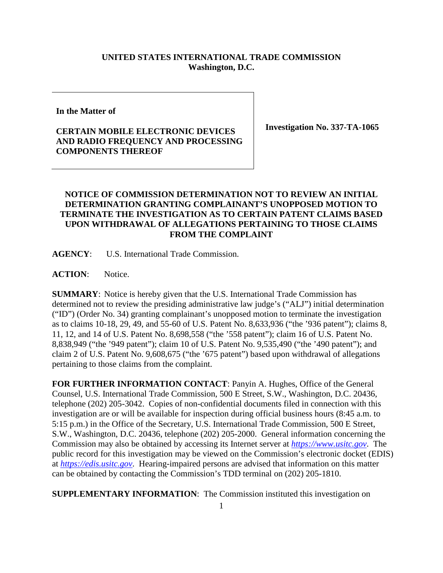## **UNITED STATES INTERNATIONAL TRADE COMMISSION Washington, D.C.**

**In the Matter of**

## **CERTAIN MOBILE ELECTRONIC DEVICES AND RADIO FREQUENCY AND PROCESSING COMPONENTS THEREOF**

**Investigation No. 337-TA-1065**

## **NOTICE OF COMMISSION DETERMINATION NOT TO REVIEW AN INITIAL DETERMINATION GRANTING COMPLAINANT'S UNOPPOSED MOTION TO TERMINATE THE INVESTIGATION AS TO CERTAIN PATENT CLAIMS BASED UPON WITHDRAWAL OF ALLEGATIONS PERTAINING TO THOSE CLAIMS FROM THE COMPLAINT**

**AGENCY**: U.S. International Trade Commission.

ACTION: Notice.

**SUMMARY**: Notice is hereby given that the U.S. International Trade Commission has determined not to review the presiding administrative law judge's ("ALJ") initial determination ("ID") (Order No. 34) granting complainant's unopposed motion to terminate the investigation as to claims 10-18, 29, 49, and 55-60 of U.S. Patent No. 8,633,936 ("the '936 patent"); claims 8, 11, 12, and 14 of U.S. Patent No. 8,698,558 ("the '558 patent"); claim 16 of U.S. Patent No. 8,838,949 ("the '949 patent"); claim 10 of U.S. Patent No. 9,535,490 ("the '490 patent"); and claim 2 of U.S. Patent No. 9,608,675 ("the '675 patent") based upon withdrawal of allegations pertaining to those claims from the complaint.

**FOR FURTHER INFORMATION CONTACT**: Panyin A. Hughes, Office of the General Counsel, U.S. International Trade Commission, 500 E Street, S.W., Washington, D.C. 20436, telephone (202) 205-3042. Copies of non-confidential documents filed in connection with this investigation are or will be available for inspection during official business hours (8:45 a.m. to 5:15 p.m.) in the Office of the Secretary, U.S. International Trade Commission, 500 E Street, S.W., Washington, D.C. 20436, telephone (202) 205-2000. General information concerning the Commission may also be obtained by accessing its Internet server at *[https://www.usitc.gov](https://www.usitc.gov/)*. The public record for this investigation may be viewed on the Commission's electronic docket (EDIS) at *[https://edis.usitc.gov](https://edis.usitc.gov/)*. Hearing-impaired persons are advised that information on this matter can be obtained by contacting the Commission's TDD terminal on (202) 205-1810.

**SUPPLEMENTARY INFORMATION:** The Commission instituted this investigation on